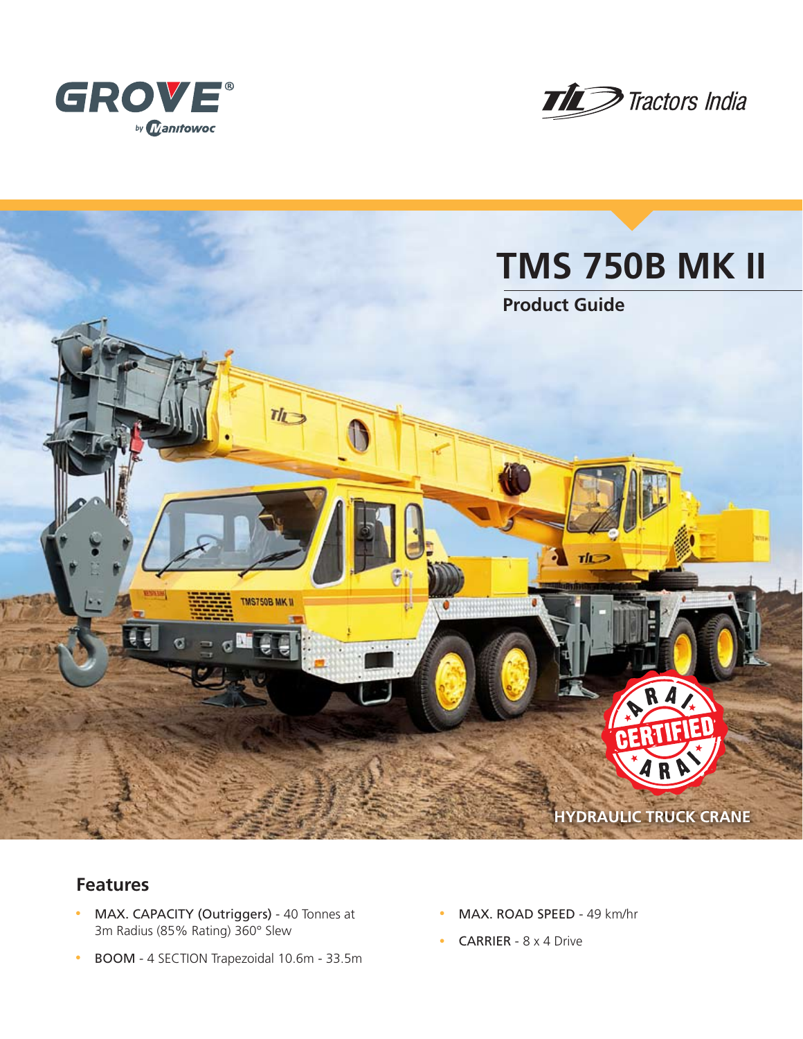





# **Features**

- MAX. CAPACITY (Outriggers) 40 Tonnes at 3m Radius (85% Rating) 360° Slew
- BOOM 4 SECTION Trapezoidal 10.6m 33.5m
- MAX. ROAD SPEED 49 km/hr
- **CARRIER**  $8 \times 4$  Drive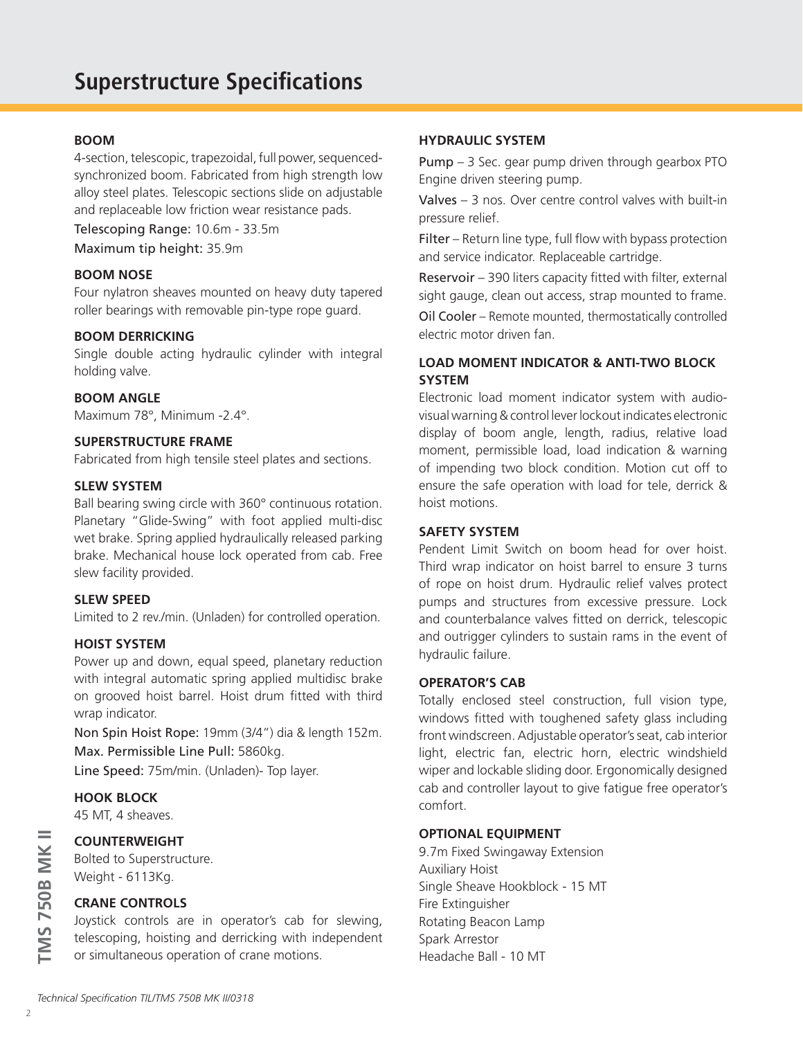### **BOOM**

4-section, telescopic, trapezoidal, full power, sequencedsynchronized boom. Fabricated from high strength low alloy steel plates. Telescopic sections slide on adjustable and replaceable low friction wear resistance pads.

Telescoping Range: 10.6m - 33.5m Maximum tip height: 35.9m

#### **BOOM NOSE**

Four nylatron sheaves mounted on heavy duty tapered roller bearings with removable pin-type rope guard.

#### **BOOM DERRICKING**

Single double acting hydraulic cylinder with integral holding valve.

#### **BOOM ANGLE**

Maximum 78°, Minimum -2.4°.

## **SUPERSTRUCTURE FRAME**

Fabricated from high tensile steel plates and sections.

#### **SLEW SYSTEM**

Ball bearing swing circle with 360° continuous rotation. Planetary "Glide-Swing" with foot applied multi-disc wet brake. Spring applied hydraulically released parking brake. Mechanical house lock operated from cab. Free slew facility provided.

#### **SLEW SPEED**

Limited to 2 rev./min. (Unladen) for controlled operation.

#### **HOIST SYSTEM**

Power up and down, equal speed, planetary reduction with integral automatic spring applied multidisc brake on grooved hoist barrel. Hoist drum fitted with third wrap indicator.

Non Spin Hoist Rope: 19mm (3/4") dia & length 152m. Max. Permissible Line Pull: 5860kg.

Line Speed: 75m/min. (Unladen)- Top layer.

# **HOOK BLOCK**

45 MT, 4 sheaves.

## **COUNTERWEIGHT**

Bolted to Superstructure. Weight - 6113Kg.

### **CRANE CONTROLS**

Joystick controls are in operator's cab for slewing, telescoping, hoisting and derricking with independent or simultaneous operation of crane motions.

#### **HYDRAULIC SYSTEM**

Pump – 3 Sec. gear pump driven through gearbox PTO Engine driven steering pump.

Valves – 3 nos. Over centre control valves with built-in pressure relief.

Filter – Return line type, full flow with bypass protection and service indicator. Replaceable cartridge.

Reservoir – 390 liters capacity fitted with filter, external sight gauge, clean out access, strap mounted to frame.

Oil Cooler – Remote mounted, thermostatically controlled electric motor driven fan.

# **LOAD MOMENT INDICATOR & ANTI-TWO BLOCK SYSTEM**

Electronic load moment indicator system with audiovisual warning & control lever lockout indicates electronic display of boom angle, length, radius, relative load moment, permissible load, load indication & warning of impending two block condition. Motion cut off to ensure the safe operation with load for tele, derrick & hoist motions.

#### **SAFETY SYSTEM**

Pendent Limit Switch on boom head for over hoist. Third wrap indicator on hoist barrel to ensure 3 turns of rope on hoist drum. Hydraulic relief valves protect pumps and structures from excessive pressure. Lock and counterbalance valves fitted on derrick, telescopic and outrigger cylinders to sustain rams in the event of hydraulic failure.

#### **OPERATOR'S CAB**

Totally enclosed steel construction, full vision type, windows fitted with toughened safety glass including front windscreen. Adjustable operator's seat, cab interior light, electric fan, electric horn, electric windshield wiper and lockable sliding door. Ergonomically designed cab and controller layout to give fatigue free operator's comfort.

#### **OPTIONAL EQUIPMENT**

9.7m Fixed Swingaway Extension Auxiliary Hoist Single Sheave Hookblock - 15 MT Fire Extinguisher Rotating Beacon Lamp Spark Arrestor Headache Ball - 10 MT

**TMS 750B MK II**

**TMS 750B MK II**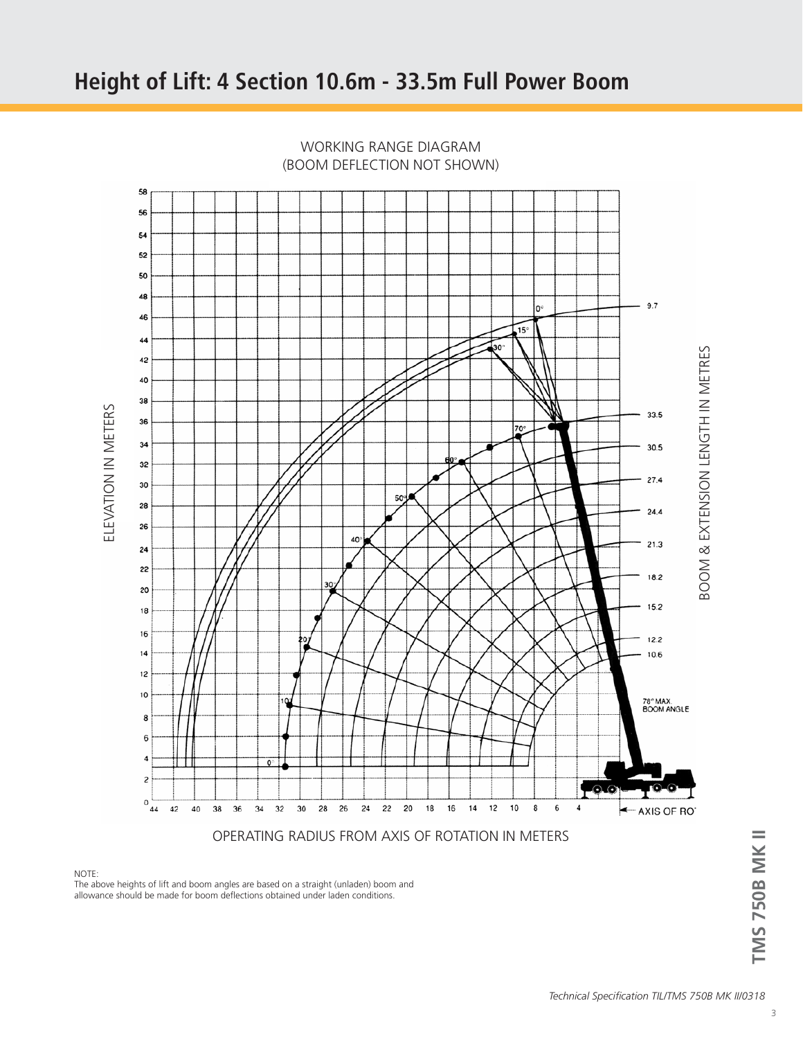

WORKING RANGE DIAGRAM (BOOM DEFLECTION NOT SHOWN)

#### NOTE:

The above heights of lift and boom angles are based on a straight (unladen) boom and allowance should be made for boom deflections obtained under laden conditions.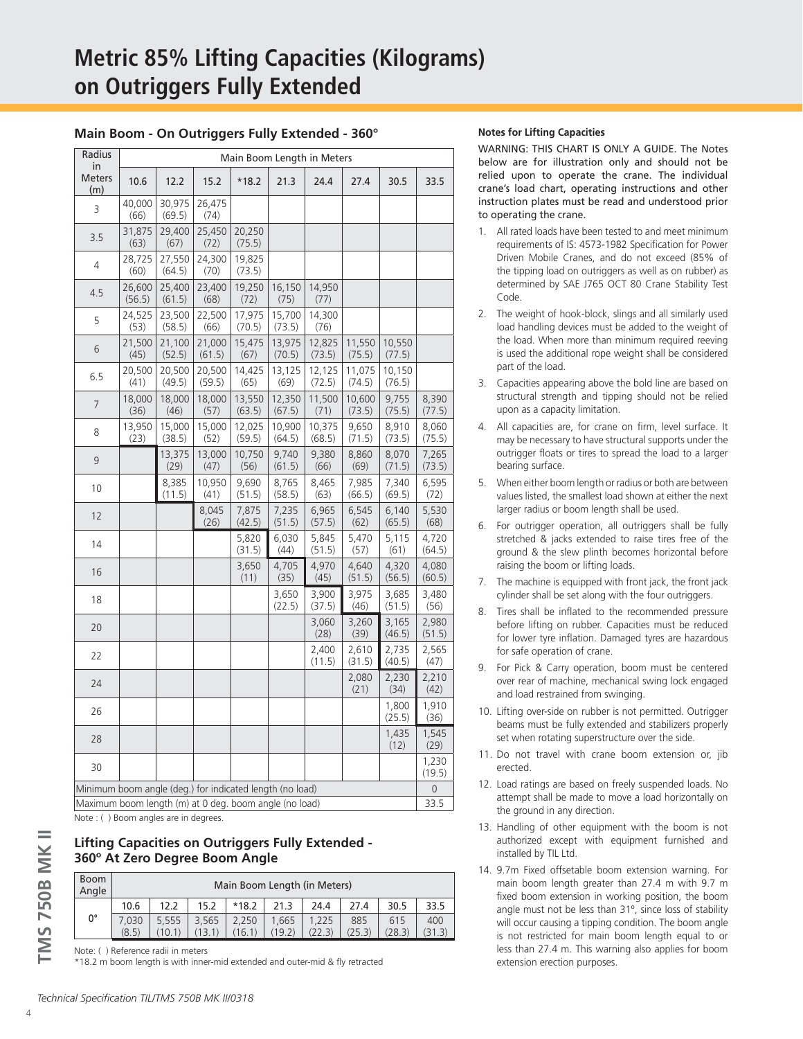#### **Main Boom - On Outriggers Fully Extended - 360°**

| Radius                                                   | Main Boom Length in Meters |                  |                  |                  |                  |                  |                  |                  |                 |
|----------------------------------------------------------|----------------------------|------------------|------------------|------------------|------------------|------------------|------------------|------------------|-----------------|
| in<br><b>Meters</b><br>(m)                               | 10.6                       | 12.2             | 15.2             | $*18.2$          | 21.3             | 24.4             | 27.4             | 30.5             | 33.5            |
| 3                                                        | 40,000<br>(66)             | 30,975<br>(69.5) | 26,475<br>(74)   |                  |                  |                  |                  |                  |                 |
| 3.5                                                      | 31,875<br>(63)             | 29,400<br>(67)   | 25,450<br>(72)   | 20,250<br>(75.5) |                  |                  |                  |                  |                 |
| 4                                                        | 28,725<br>(60)             | 27,550<br>(64.5) | 24,300<br>(70)   | 19,825<br>(73.5) |                  |                  |                  |                  |                 |
| 4.5                                                      | 26,600<br>(56.5)           | 25,400<br>(61.5) | 23,400<br>(68)   | 19,250<br>(72)   | 16,150<br>(75)   | 14,950<br>(77)   |                  |                  |                 |
| 5                                                        | 24,525<br>(53)             | 23,500<br>(58.5) | 22,500<br>(66)   | 17,975<br>(70.5) | 15,700<br>(73.5) | 14,300<br>(76)   |                  |                  |                 |
| 6                                                        | 21,500<br>(45)             | 21,100<br>(52.5) | 21,000<br>(61.5) | 15,475<br>(67)   | 13,975<br>(70.5) | 12,825<br>(73.5) | 11,550<br>(75.5) | 10,550<br>(77.5) |                 |
| 6.5                                                      | 20,500<br>(41)             | 20,500<br>(49.5) | 20,500<br>(59.5) | 14,425<br>(65)   | 13,125<br>(69)   | 12,125<br>(72.5) | 11,075<br>(74.5) | 10,150<br>(76.5) |                 |
| $\overline{7}$                                           | 18,000<br>(36)             | 18,000<br>(46)   | 18,000<br>(57)   | 13,550<br>(63.5) | 12,350<br>(67.5) | 11,500<br>(71)   | 10,600<br>(73.5) | 9,755<br>(75.5)  | 8,390<br>(77.5) |
| 8                                                        | 13,950<br>(23)             | 15,000<br>(38.5) | 15,000<br>(52)   | 12,025<br>(59.5) | 10,900<br>(64.5) | 10,375<br>(68.5) | 9,650<br>(71.5)  | 8,910<br>(73.5)  | 8,060<br>(75.5) |
| 9                                                        |                            | 13,375<br>(29)   | 13,000<br>(47)   | 10,750<br>(56)   | 9,740<br>(61.5)  | 9,380<br>(66)    | 8,860<br>(69)    | 8,070<br>(71.5)  | 7,265<br>(73.5) |
| 10                                                       |                            | 8,385<br>(11.5)  | 10,950<br>(41)   | 9,690<br>(51.5)  | 8,765<br>(58.5)  | 8,465<br>(63)    | 7,985<br>(66.5)  | 7,340<br>(69.5)  | 6,595<br>(72)   |
| 12                                                       |                            |                  | 8,045<br>(26)    | 7,875<br>(42.5)  | 7,235<br>(51.5)  | 6,965<br>(57.5)  | 6,545<br>(62)    | 6,140<br>(65.5)  | 5,530<br>(68)   |
| 14                                                       |                            |                  |                  | 5,820<br>(31.5)  | 6,030<br>(44)    | 5,845<br>(51.5)  | 5.470<br>(57)    | 5,115<br>(61)    | 4,720<br>(64.5) |
| 16                                                       |                            |                  |                  | 3,650<br>(11)    | 4,705<br>(35)    | 4,970<br>(45)    | 4,640<br>(51.5)  | 4,320<br>(56.5)  | 4,080<br>(60.5) |
| 18                                                       |                            |                  |                  |                  | 3,650<br>(22.5)  | 3,900<br>(37.5)  | 3,975<br>(46)    | 3,685<br>(51.5)  | 3,480<br>(56)   |
| 20                                                       |                            |                  |                  |                  |                  | 3,060<br>(28)    | 3,260<br>(39)    | 3,165<br>(46.5)  | 2,980<br>(51.5) |
| 22                                                       |                            |                  |                  |                  |                  | 2,400<br>(11.5)  | 2,610<br>(31.5)  | 2,735<br>(40.5)  | 2,565<br>(47)   |
| 24                                                       |                            |                  |                  |                  |                  |                  | 2,080<br>(21)    | 2,230<br>(34)    | 2,210<br>(42)   |
| 26                                                       |                            |                  |                  |                  |                  |                  |                  | 1,800<br>(25.5)  | 1,910<br>(36)   |
| 28                                                       |                            |                  |                  |                  |                  |                  |                  | 1,435<br>(12)    | 1,545<br>(29)   |
| 30                                                       |                            |                  |                  |                  |                  |                  |                  |                  | 1,230<br>(19.5) |
| Minimum boom angle (deg.) for indicated length (no load) |                            |                  |                  |                  |                  | $\overline{0}$   |                  |                  |                 |
| Maximum boom length (m) at 0 deg. boom angle (no load)   |                            |                  |                  |                  |                  |                  | 33.5             |                  |                 |

Note : ( ) Boom angles are in degrees.

# **Lifting Capacities on Outriggers Fully Extended - 360º At Zero Degree Boom Angle**

| <b>Boom</b><br>Angle | Main Boom Length (in Meters) |       |                 |                 |                 |                 |               |               |               |
|----------------------|------------------------------|-------|-----------------|-----------------|-----------------|-----------------|---------------|---------------|---------------|
|                      | 10.6                         | 12.2  | 15.2            | $*18.2$         | 21.3            | 24.4            | 27.4          | 30.5          | 33.5          |
| 0°                   | 7.030<br>(8.5)               | 5.555 | 3.565<br>(13.1) | 2.250<br>(16.1) | 1.665<br>(19.2) | 1.225<br>(22.3) | 885<br>(25.3) | 615<br>(28.3) | 400<br>(31.3) |
|                      |                              |       |                 |                 |                 |                 |               |               |               |

Note: ( ) Reference radii in meters

\*18.2 m boom length is with inner-mid extended and outer-mid & fly retracted

#### **Notes for Lifting Capacities**

WARNING: THIS CHART IS ONLY A GUIDE. The Notes below are for illustration only and should not be relied upon to operate the crane. The individual crane's load chart, operating instructions and other instruction plates must be read and understood prior to operating the crane.

- 1. All rated loads have been tested to and meet minimum requirements of IS: 4573-1982 Specification for Power Driven Mobile Cranes, and do not exceed (85% of the tipping load on outriggers as well as on rubber) as determined by SAE J765 OCT 80 Crane Stability Test Code.
- 2. The weight of hook-block, slings and all similarly used load handling devices must be added to the weight of the load. When more than minimum required reeving is used the additional rope weight shall be considered part of the load.
- 3. Capacities appearing above the bold line are based on structural strength and tipping should not be relied upon as a capacity limitation.
- 4. All capacities are, for crane on firm, level surface. It may be necessary to have structural supports under the outrigger floats or tires to spread the load to a larger bearing surface.
- 5. When either boom length or radius or both are between values listed, the smallest load shown at either the next larger radius or boom length shall be used.
- 6. For outrigger operation, all outriggers shall be fully stretched & jacks extended to raise tires free of the ground & the slew plinth becomes horizontal before raising the boom or lifting loads.
- 7. The machine is equipped with front jack, the front jack cylinder shall be set along with the four outriggers.
- 8. Tires shall be inflated to the recommended pressure before lifting on rubber. Capacities must be reduced for lower tyre inflation. Damaged tyres are hazardous for safe operation of crane.
- 9. For Pick & Carry operation, boom must be centered over rear of machine, mechanical swing lock engaged and load restrained from swinging.
- 10. Lifting over-side on rubber is not permitted. Outrigger beams must be fully extended and stabilizers properly set when rotating superstructure over the side.
- 11. Do not travel with crane boom extension or, jib erected.
- 12. Load ratings are based on freely suspended loads. No attempt shall be made to move a load horizontally on the ground in any direction.
- 13. Handling of other equipment with the boom is not authorized except with equipment furnished and installed by TIL Ltd.
- 14. 9.7m Fixed offsetable boom extension warning. For main boom length greater than 27.4 m with 9.7 m fixed boom extension in working position, the boom angle must not be less than 31º, since loss of stability will occur causing a tipping condition. The boom angle is not restricted for main boom length equal to or less than 27.4 m. This warning also applies for boom extension erection purposes.

4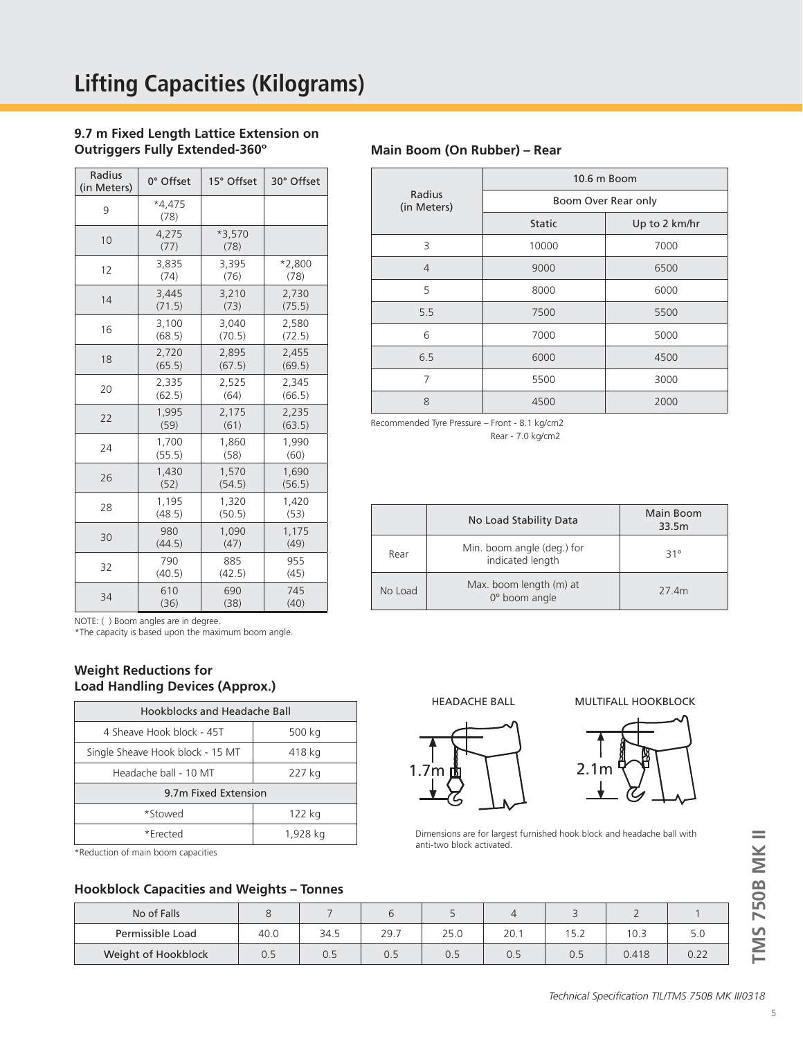# **9.7 m Fixed Length Lattice Extension on Outriggers Fully Extended-360º**

| Radius<br>(in Meters) | 0° Offset        | 15° Offset     | 30° Offset |  |
|-----------------------|------------------|----------------|------------|--|
| 9                     | $*4.475$<br>(78) |                |            |  |
| 10                    | 4.275<br>(77)    | *3.570<br>(78) |            |  |
| 12                    | 3.835            | 3.395          | $*2,800$   |  |
|                       | (74)             | (76)           | (78)       |  |
| 14                    | 3,445            | 3,210          | 2,730      |  |
|                       | (71.5)           | (73)           | (75.5)     |  |
| 16                    | 3,100            | 3,040          | 2,580      |  |
|                       | (68.5)           | (70.5)         | (72.5)     |  |
| 18                    | 2,720            | 2,895          | 2,455      |  |
|                       | (65.5)           | (67.5)         | (69.5)     |  |
| 20                    | 2,335            | 2,525          | 2,345      |  |
|                       | (62.5)           | (64)           | (66.5)     |  |
| 22                    | 1,995            | 2,175          | 2,235      |  |
|                       | (59)             | (61)           | (63.5)     |  |
| 24                    | 1,700            | 1,860          | 1,990      |  |
|                       | (55.5)           | (58)           | (60)       |  |
| 26                    | 1,430            | 1,570          | 1,690      |  |
|                       | (52)             | (54.5)         | (56.5)     |  |
| 28                    | 1,195            | 1,320          | 1,420      |  |
|                       | (48.5)           | (50.5)         | (53)       |  |
| 30                    | 980              | 1,090          | 1,175      |  |
|                       | (44.5)           | (47)           | (49)       |  |
| 32                    | 790              | 885            | 955        |  |
|                       | (40.5)           | (42.5)         | (45)       |  |
| 34                    | 610              | 690            | 745        |  |
|                       | (36)             | (38)           | (40)       |  |

#### **Main Boom (On Rubber) – Rear**

|                       | 10.6 m Boom         |               |  |  |  |  |
|-----------------------|---------------------|---------------|--|--|--|--|
| Radius<br>(in Meters) | Boom Over Rear only |               |  |  |  |  |
|                       | <b>Static</b>       | Up to 2 km/hr |  |  |  |  |
| 3                     | 10000               | 7000          |  |  |  |  |
| $\overline{4}$        | 9000                | 6500          |  |  |  |  |
| 5                     | 8000                | 6000          |  |  |  |  |
| 5.5                   | 7500                | 5500          |  |  |  |  |
| 6                     | 7000                | 5000          |  |  |  |  |
| 6.5                   | 6000                | 4500          |  |  |  |  |
| 7                     | 5500                | 3000          |  |  |  |  |
| 8                     | 4500                | 2000          |  |  |  |  |

Recommended Tyre Pressure – Front - 8.1 kg/cm2 Rear - 7.0 kg/cm2

|         | No Load Stability Data                         | Main Boom<br>33.5m |
|---------|------------------------------------------------|--------------------|
| Rear    | Min. boom angle (deg.) for<br>indicated length | $31^\circ$         |
| No Load | Max. boom length (m) at<br>0° boom angle       | 27 4m              |

NOTE: ( ) Boom angles are in degree.

\*The capacity is based upon the maximum boom angle.

# **Weight Reductions for Load Handling Devices (Approx.)**

| Hookblocks and Headache Ball     |          |  |  |  |  |  |
|----------------------------------|----------|--|--|--|--|--|
| 4 Sheave Hook block - 45T        | 500 kg   |  |  |  |  |  |
| Single Sheave Hook block - 15 MT | 418 kg   |  |  |  |  |  |
| Headache ball - 10 MT            | 227 kg   |  |  |  |  |  |
| 9.7m Fixed Extension             |          |  |  |  |  |  |
| *Stowed                          | 122 kg   |  |  |  |  |  |
| *Frected                         | 1,928 kg |  |  |  |  |  |

\*Reduction of main boom capacities

## **Hookblock Capacities and Weights – Tonnes**

| No of Falls         |      |      |      |      |      |      |       |      |
|---------------------|------|------|------|------|------|------|-------|------|
| Permissible Load    | 40.0 | 34.5 | 29.7 | 25.0 | 20.1 | 15.2 | 10.3  | 5.0  |
| Weight of Hookblock | U.5  | 0.5  | 0.5  | 0.5  | 0.5  | 0.5  | 0.418 | 0.22 |





Dimensions are for largest furnished hook block and headache ball with anti-two block activated.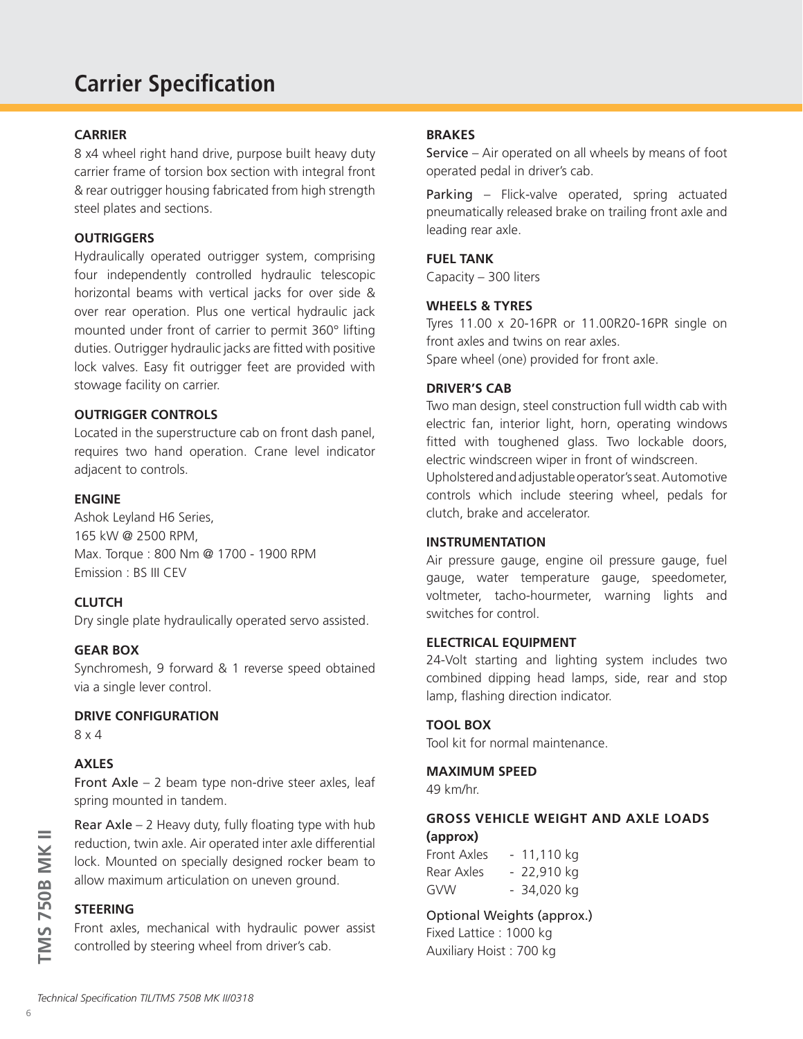# **Carrier Specification**

# **CARRIER**

8 x4 wheel right hand drive, purpose built heavy duty carrier frame of torsion box section with integral front & rear outrigger housing fabricated from high strength steel plates and sections.

# **OUTRIGGERS**

Hydraulically operated outrigger system, comprising four independently controlled hydraulic telescopic horizontal beams with vertical jacks for over side & over rear operation. Plus one vertical hydraulic jack mounted under front of carrier to permit 360° lifting duties. Outrigger hydraulic jacks are fitted with positive lock valves. Easy fit outrigger feet are provided with stowage facility on carrier.

# **OUTRIGGER CONTROLS**

Located in the superstructure cab on front dash panel, requires two hand operation. Crane level indicator adjacent to controls.

# **ENGINE**

Ashok Leyland H6 Series, 165 kW @ 2500 RPM, Max. Torque : 800 Nm @ 1700 - 1900 RPM Emission : BS III CEV

# **CLUTCH**

Dry single plate hydraulically operated servo assisted.

## **GEAR BOX**

Synchromesh, 9 forward & 1 reverse speed obtained via a single lever control.

### **DRIVE CONFIGURATION**

8 x 4

# **AXLES**

Front Axle – 2 beam type non-drive steer axles, leaf spring mounted in tandem.

Rear Axle  $-2$  Heavy duty, fully floating type with hub reduction, twin axle. Air operated inter axle differential lock. Mounted on specially designed rocker beam to allow maximum articulation on uneven ground.

# **STEERING**

Front axles, mechanical with hydraulic power assist controlled by steering wheel from driver's cab.

# **BRAKES**

Service – Air operated on all wheels by means of foot operated pedal in driver's cab.

Parking – Flick-valve operated, spring actuated pneumatically released brake on trailing front axle and leading rear axle.

## **FUEL TANK**

Capacity – 300 liters

#### **WHEELS & TYRES**

Tyres 11.00 x 20-16PR or 11.00R20-16PR single on front axles and twins on rear axles. Spare wheel (one) provided for front axle.

### **DRIVER'S CAB**

Two man design, steel construction full width cab with electric fan, interior light, horn, operating windows fitted with toughened glass. Two lockable doors, electric windscreen wiper in front of windscreen.

Upholstered and adjustable operator's seat. Automotive controls which include steering wheel, pedals for clutch, brake and accelerator.

# **INSTRUMENTATION**

Air pressure gauge, engine oil pressure gauge, fuel gauge, water temperature gauge, speedometer, voltmeter, tacho-hourmeter, warning lights and switches for control.

### **ELECTRICAL EQUIPMENT**

24-Volt starting and lighting system includes two combined dipping head lamps, side, rear and stop lamp, flashing direction indicator.

### **TOOL BOX**

Tool kit for normal maintenance.

### **MAXIMUM SPEED**

49 km/hr.

# **GROSS VEHICLE WEIGHT AND AXLE LOADS (approx)**

| Front Axles | $-11,110$ kg |
|-------------|--------------|
| Rear Axles  | $-22,910$ kg |
| GVW         | - 34,020 kg  |

# Optional Weights (approx.)

Fixed Lattice : 1000 kg Auxiliary Hoist : 700 kg

**TMS 750B MK II**

**TMS 750B MK II**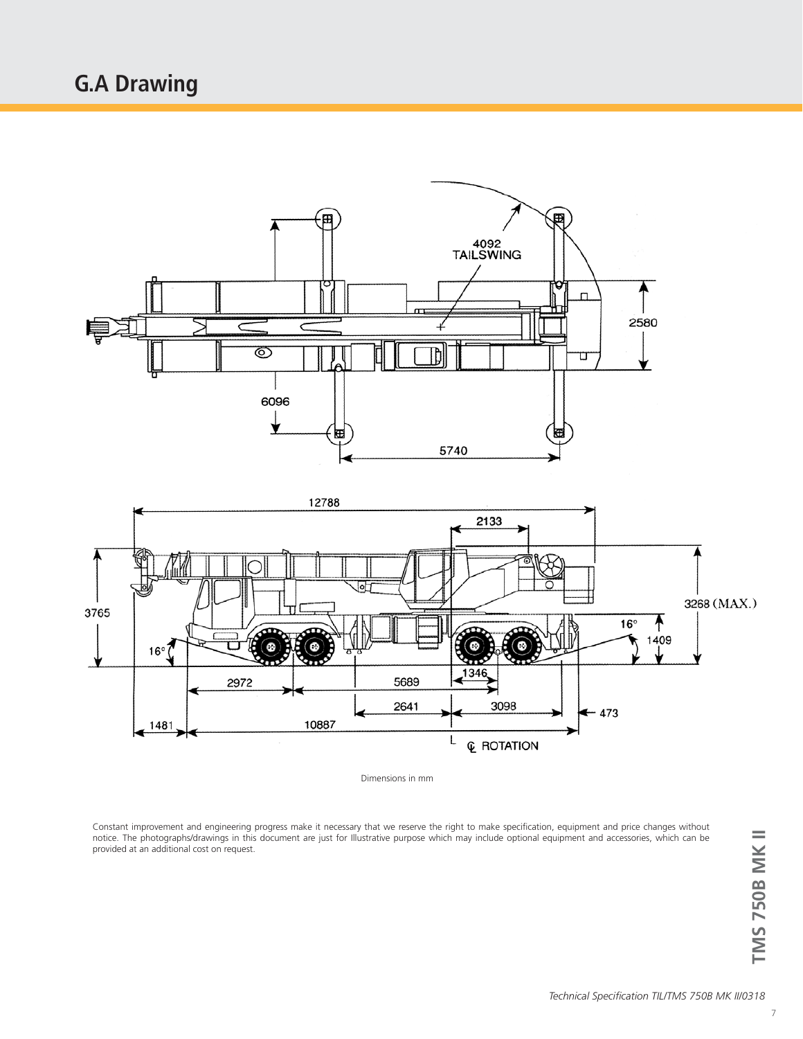# **G.A Drawing**



Dimensions in mm

Constant improvement and engineering progress make it necessary that we reserve the right to make specification, equipment and price changes without notice. The photographs/drawings in this document are just for Illustrative purpose which may include optional equipment and accessories, which can be provided at an additional cost on request.